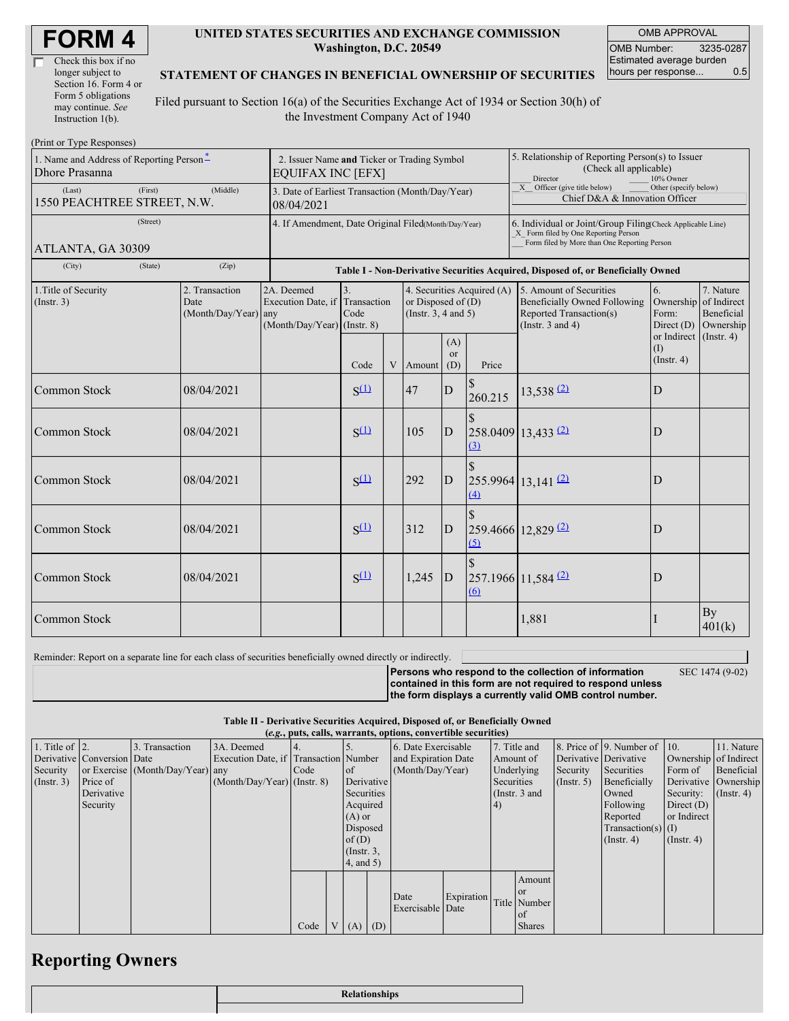| Check this box if no  |
|-----------------------|
| longer subject to     |
| Section 16. Form 4 or |
| Form 5 obligations    |
| may continue. See     |
| Instruction 1(b).     |

#### **UNITED STATES SECURITIES AND EXCHANGE COMMISSION Washington, D.C. 20549**

OMB APPROVAL OMB Number: 3235-0287 Estimated average burden hours per response... 0.5

#### **STATEMENT OF CHANGES IN BENEFICIAL OWNERSHIP OF SECURITIES**

Filed pursuant to Section 16(a) of the Securities Exchange Act of 1934 or Section 30(h) of the Investment Company Act of 1940

| (Print or Type Responses)                                  |                                                                         |                                                |                                                                 |                                                                                  |   |                                                                                                      |                                                                                                                                                    |                          |                                                                                                                    |                                                   |                                                     |  |
|------------------------------------------------------------|-------------------------------------------------------------------------|------------------------------------------------|-----------------------------------------------------------------|----------------------------------------------------------------------------------|---|------------------------------------------------------------------------------------------------------|----------------------------------------------------------------------------------------------------------------------------------------------------|--------------------------|--------------------------------------------------------------------------------------------------------------------|---------------------------------------------------|-----------------------------------------------------|--|
| 1. Name and Address of Reporting Person-<br>Dhore Prasanna | 2. Issuer Name and Ticker or Trading Symbol<br><b>EQUIFAX INC [EFX]</b> |                                                |                                                                 |                                                                                  |   | 5. Relationship of Reporting Person(s) to Issuer<br>(Check all applicable)<br>Director<br>10% Owner  |                                                                                                                                                    |                          |                                                                                                                    |                                                   |                                                     |  |
| (Last)<br>1550 PEACHTREE STREET, N.W.                      | 3. Date of Earliest Transaction (Month/Day/Year)<br>08/04/2021          |                                                |                                                                 |                                                                                  |   | $\overline{X}$ Officer (give title below)<br>Other (specify below)<br>Chief D&A & Innovation Officer |                                                                                                                                                    |                          |                                                                                                                    |                                                   |                                                     |  |
| ATLANTA, GA 30309                                          | 4. If Amendment, Date Original Filed(Month/Day/Year)                    |                                                |                                                                 |                                                                                  |   |                                                                                                      | 6. Individual or Joint/Group Filing(Check Applicable Line)<br>X Form filed by One Reporting Person<br>Form filed by More than One Reporting Person |                          |                                                                                                                    |                                                   |                                                     |  |
| (Zip)<br>(City)<br>(State)                                 |                                                                         |                                                |                                                                 | Table I - Non-Derivative Securities Acquired, Disposed of, or Beneficially Owned |   |                                                                                                      |                                                                                                                                                    |                          |                                                                                                                    |                                                   |                                                     |  |
| 1. Title of Security<br>(Insert. 3)                        |                                                                         | 2. Transaction<br>Date<br>(Month/Day/Year) any | 2A. Deemed<br>Execution Date, if<br>(Month/Day/Year) (Instr. 8) | 3.<br>Transaction<br>Code                                                        |   | 4. Securities Acquired (A)<br>or Disposed of $(D)$<br>(Insert. 3, 4 and 5)                           |                                                                                                                                                    |                          | 5. Amount of Securities<br><b>Beneficially Owned Following</b><br>Reported Transaction(s)<br>(Instr. $3$ and $4$ ) | 6.<br>Ownership<br>Form:<br>Direct $(D)$          | 7. Nature<br>of Indirect<br>Beneficial<br>Ownership |  |
|                                                            |                                                                         |                                                |                                                                 | Code                                                                             | V | Amount                                                                                               | (A)<br><sub>or</sub><br>(D)                                                                                                                        | Price                    |                                                                                                                    | or Indirect (Instr. 4)<br>(1)<br>$($ Instr. 4 $)$ |                                                     |  |
| Common Stock                                               |                                                                         | 08/04/2021                                     |                                                                 | $S^{(1)}$                                                                        |   | 47                                                                                                   | D                                                                                                                                                  | <sup>\$</sup><br>260.215 | $13,538$ $(2)$                                                                                                     | D                                                 |                                                     |  |
| Common Stock                                               |                                                                         | 08/04/2021                                     |                                                                 | $S^{(1)}$                                                                        |   | 105                                                                                                  | D                                                                                                                                                  | $\mathcal{S}$<br>(3)     | $258.0409$ 13,433 (2)                                                                                              | D                                                 |                                                     |  |
| <b>Common Stock</b>                                        |                                                                         | 08/04/2021                                     |                                                                 | $S^{(1)}$                                                                        |   | 292                                                                                                  | D                                                                                                                                                  | $\mathcal{S}$<br>(4)     | $255.9964$ 13,141 $\frac{(2)}{2}$                                                                                  | D                                                 |                                                     |  |
| <b>Common Stock</b>                                        |                                                                         | 08/04/2021                                     |                                                                 | $S^{(1)}$                                                                        |   | 312                                                                                                  | D                                                                                                                                                  | $\mathcal{S}$<br>(5)     | 259.4666 12,829 <sup>(2)</sup>                                                                                     | D                                                 |                                                     |  |
| Common Stock                                               |                                                                         | 08/04/2021                                     |                                                                 | $S^{(1)}$                                                                        |   | 1,245                                                                                                | D                                                                                                                                                  | $\overline{6}$           | $257.1966$ 11,584 $\frac{(2)}{2}$                                                                                  | D                                                 |                                                     |  |
| Common Stock                                               |                                                                         |                                                |                                                                 |                                                                                  |   |                                                                                                      |                                                                                                                                                    |                          | 1,881                                                                                                              |                                                   | By<br>401(k)                                        |  |

Reminder: Report on a separate line for each class of securities beneficially owned directly or indirectly.

**Persons who respond to the collection of information contained in this form are not required to respond unless the form displays a currently valid OMB control number.**

SEC 1474 (9-02)

**Table II - Derivative Securities Acquired, Disposed of, or Beneficially Owned**

| (e.g., puts, calls, warrants, options, convertible securities) |                            |                                  |                                       |      |  |                 |                     |                          |            |            |               |                       |                              |                      |                  |
|----------------------------------------------------------------|----------------------------|----------------------------------|---------------------------------------|------|--|-----------------|---------------------|--------------------------|------------|------------|---------------|-----------------------|------------------------------|----------------------|------------------|
| 1. Title of $\vert$ 2.                                         |                            | 3. Transaction                   | 3A. Deemed                            |      |  |                 |                     | 6. Date Exercisable      |            |            | 7. Title and  |                       | 8. Price of 9. Number of 10. |                      | 11. Nature       |
|                                                                | Derivative Conversion Date |                                  | Execution Date, if Transaction Number |      |  |                 | and Expiration Date |                          |            | Amount of  |               | Derivative Derivative | Ownership of Indirect        |                      |                  |
| Security                                                       |                            | or Exercise (Month/Day/Year) any |                                       | Code |  | $\circ$ f       |                     | (Month/Day/Year)         |            | Underlying |               | Security              | Securities                   | Form of              | Beneficial       |
| (Insert. 3)                                                    | Price of                   |                                  | $(Month/Day/Year)$ (Instr. 8)         |      |  | Derivative      |                     |                          |            | Securities |               | $($ Instr. 5 $)$      | Beneficially                 | Derivative Ownership |                  |
|                                                                | Derivative                 |                                  |                                       |      |  | Securities      |                     |                          |            |            | (Instr. 3 and |                       | Owned                        | Security:            | $($ Instr. 4 $)$ |
|                                                                | Security                   |                                  |                                       |      |  | Acquired        |                     |                          |            | 4)         |               |                       | Following                    | Direct $(D)$         |                  |
|                                                                |                            |                                  |                                       |      |  | $(A)$ or        |                     |                          |            |            |               |                       | Reported                     | or Indirect          |                  |
|                                                                |                            |                                  |                                       |      |  |                 | Disposed            |                          |            |            |               | $Transaction(s)$ (I)  |                              |                      |                  |
|                                                                |                            |                                  |                                       |      |  | of(D)           |                     |                          |            |            |               | $($ Instr. 4 $)$      | $($ Instr. 4 $)$             |                      |                  |
|                                                                |                            |                                  |                                       |      |  | $($ Instr. $3,$ |                     |                          |            |            |               |                       |                              |                      |                  |
|                                                                |                            |                                  |                                       |      |  | $4$ , and $5$ ) |                     |                          |            |            |               |                       |                              |                      |                  |
|                                                                |                            |                                  |                                       |      |  |                 |                     |                          |            |            | Amount        |                       |                              |                      |                  |
|                                                                |                            |                                  |                                       |      |  |                 |                     |                          |            |            | <sub>or</sub> |                       |                              |                      |                  |
|                                                                |                            |                                  |                                       |      |  |                 |                     | Date<br>Exercisable Date | Expiration |            | Title Number  |                       |                              |                      |                  |
|                                                                |                            |                                  |                                       |      |  |                 |                     |                          |            |            | of            |                       |                              |                      |                  |
|                                                                |                            |                                  |                                       | Code |  | $V(A)$ $(D)$    |                     |                          |            |            | <b>Shares</b> |                       |                              |                      |                  |

## **Reporting Owners**

| <b>Relationships</b> |
|----------------------|
|                      |